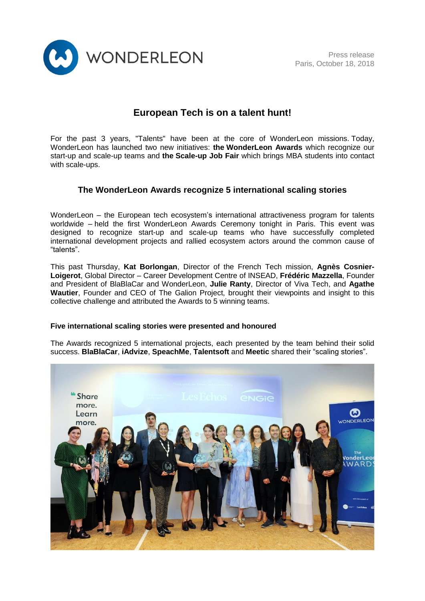

# **European Tech is on a talent hunt!**

For the past 3 years, "Talents" have been at the core of WonderLeon missions. Today, WonderLeon has launched two new initiatives: **the WonderLeon Awards** which recognize our start-up and scale-up teams and **the Scale-up Job Fair** which brings MBA students into contact with scale-ups.

# **The WonderLeon Awards recognize 5 international scaling stories**

WonderLeon – the European tech ecosystem's international attractiveness program for talents worldwide – held the first WonderLeon Awards Ceremony tonight in Paris. This event was designed to recognize start-up and scale-up teams who have successfully completed international development projects and rallied ecosystem actors around the common cause of "talents".

This past Thursday, **Kat Borlongan**, Director of the French Tech mission, **Agnès Cosnier-Loigerot**, Global Director – Career Development Centre of INSEAD, **Frédéric Mazzella**, Founder and President of BlaBlaCar and WonderLeon, **Julie Ranty**, Director of Viva Tech, and **Agathe Wautier**, Founder and CEO of The Galion Project, brought their viewpoints and insight to this collective challenge and attributed the Awards to 5 winning teams.

### **Five international scaling stories were presented and honoured**

The Awards recognized 5 international projects, each presented by the team behind their solid success. **BlaBlaCar**, **iAdvize**, **SpeachMe**, **Talentsoft** and **Meetic** shared their "scaling stories".

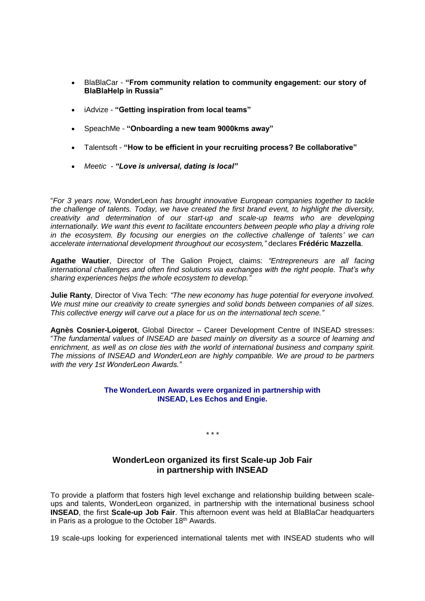- BlaBlaCar **"From community relation to community engagement: our story of BlaBlaHelp in Russia"**
- iAdvize **"Getting inspiration from local teams"**
- SpeachMe **"Onboarding a new team 9000kms away"**
- Talentsoft **"How to be efficient in your recruiting process? Be collaborative"**
- *Meetic - "Love is universal, dating is local"*

"*For 3 years now,* WonderLeon *has brought innovative European companies together to tackle the challenge of talents. Today, we have created the first brand event, to highlight the diversity, creativity and determination of our start-up and scale-up teams who are developing internationally. We want this event to facilitate encounters between people who play a driving role in the ecosystem. By focusing our energies on the collective challenge of 'talents' we can accelerate international development throughout our ecosystem,"* declares **Frédéric Mazzella**.

**Agathe Wautier**, Director of The Galion Project, claims: *"Entrepreneurs are all facing international challenges and often find solutions via exchanges with the right people. That's why sharing experiences helps the whole ecosystem to develop."*

**Julie Ranty**, Director of Viva Tech: *"The new economy has huge potential for everyone involved. We must mine our creativity to create synergies and solid bonds between companies of all sizes. This collective energy will carve out a place for us on the international tech scene."*

**Agnès Cosnier-Loigerot**, Global Director – Career Development Centre of INSEAD stresses: "*The fundamental values of INSEAD are based mainly on diversity as a source of learning and enrichment, as well as on close ties with the world of international business and company spirit. The missions of INSEAD and WonderLeon are highly compatible. We are proud to be partners with the very 1st WonderLeon Awards."*

#### **The WonderLeon Awards were organized in partnership with INSEAD, Les Echos and Engie.**

*\* \* \**

# **WonderLeon organized its first Scale-up Job Fair in partnership with INSEAD**

To provide a platform that fosters high level exchange and relationship building between scaleups and talents, WonderLeon organized, in partnership with the international business school **INSEAD**, the first **Scale-up Job Fair**. This afternoon event was held at BlaBlaCar headquarters in Paris as a prologue to the October 18<sup>th</sup> Awards.

19 scale-ups looking for experienced international talents met with INSEAD students who will